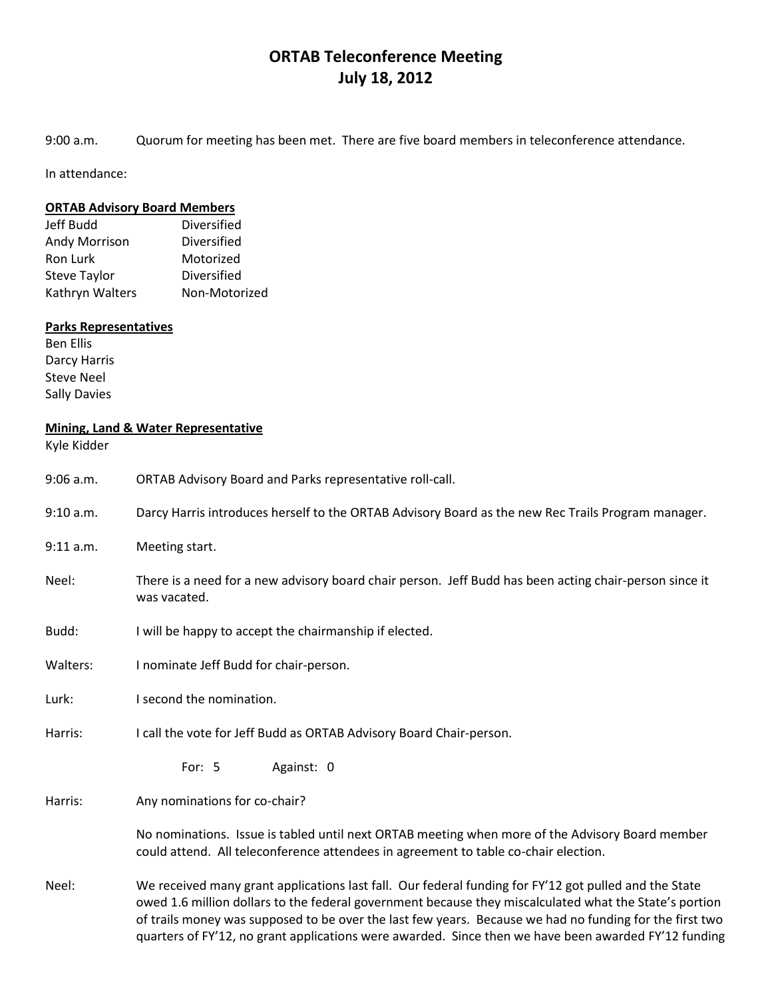## **ORTAB Teleconference Meeting July 18, 2012**

9:00 a.m. Quorum for meeting has been met. There are five board members in teleconference attendance.

In attendance:

## **ORTAB Advisory Board Members**

| Jeff Budd            | Diversified   |
|----------------------|---------------|
| <b>Andy Morrison</b> | Diversified   |
| Ron Lurk             | Motorized     |
| <b>Steve Taylor</b>  | Diversified   |
| Kathryn Walters      | Non-Motorized |

## **Parks Representatives**

Ben Ellis Darcy Harris Steve Neel Sally Davies

## **Mining, Land & Water Representative**

Kyle Kidder

| $9:06$ a.m. | ORTAB Advisory Board and Parks representative roll-call.                                                                                                                                                                                                                                                                                                                                                                           |
|-------------|------------------------------------------------------------------------------------------------------------------------------------------------------------------------------------------------------------------------------------------------------------------------------------------------------------------------------------------------------------------------------------------------------------------------------------|
| 9:10 a.m.   | Darcy Harris introduces herself to the ORTAB Advisory Board as the new Rec Trails Program manager.                                                                                                                                                                                                                                                                                                                                 |
| 9:11 a.m.   | Meeting start.                                                                                                                                                                                                                                                                                                                                                                                                                     |
| Neel:       | There is a need for a new advisory board chair person. Jeff Budd has been acting chair-person since it<br>was vacated.                                                                                                                                                                                                                                                                                                             |
| Budd:       | I will be happy to accept the chairmanship if elected.                                                                                                                                                                                                                                                                                                                                                                             |
| Walters:    | I nominate Jeff Budd for chair-person.                                                                                                                                                                                                                                                                                                                                                                                             |
| Lurk:       | I second the nomination.                                                                                                                                                                                                                                                                                                                                                                                                           |
| Harris:     | I call the vote for Jeff Budd as ORTAB Advisory Board Chair-person.                                                                                                                                                                                                                                                                                                                                                                |
|             | Against: 0<br>For: $5$                                                                                                                                                                                                                                                                                                                                                                                                             |
| Harris:     | Any nominations for co-chair?                                                                                                                                                                                                                                                                                                                                                                                                      |
|             | No nominations. Issue is tabled until next ORTAB meeting when more of the Advisory Board member<br>could attend. All teleconference attendees in agreement to table co-chair election.                                                                                                                                                                                                                                             |
| Neel:       | We received many grant applications last fall. Our federal funding for FY'12 got pulled and the State<br>owed 1.6 million dollars to the federal government because they miscalculated what the State's portion<br>of trails money was supposed to be over the last few years. Because we had no funding for the first two<br>quarters of FY'12, no grant applications were awarded. Since then we have been awarded FY'12 funding |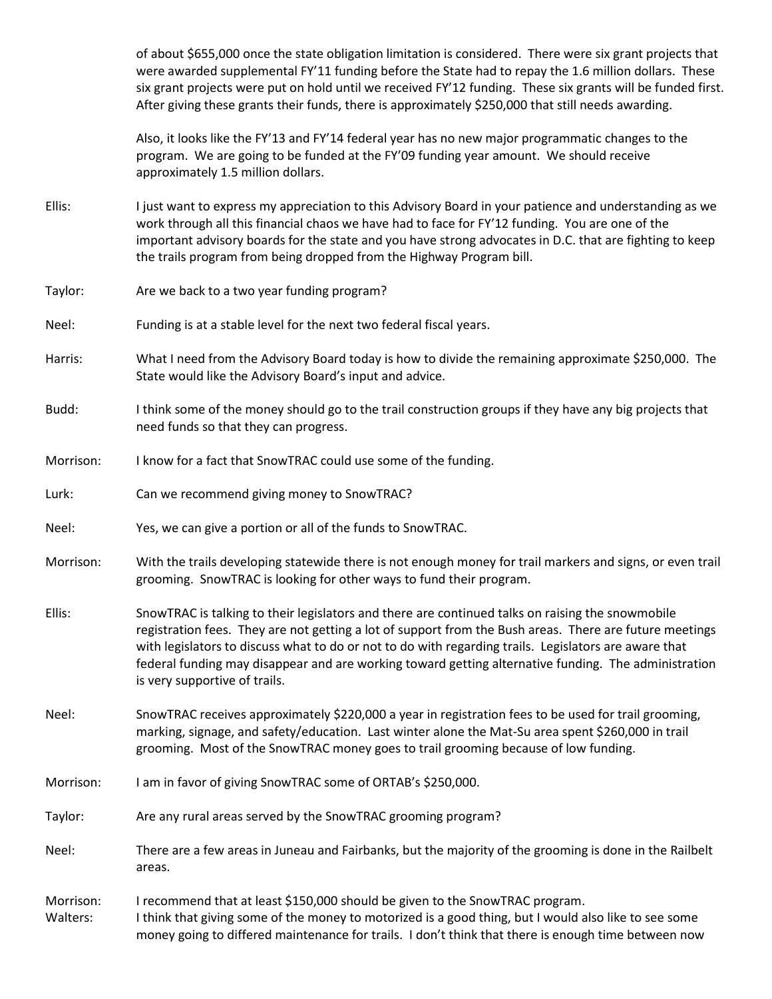of about \$655,000 once the state obligation limitation is considered. There were six grant projects that were awarded supplemental FY'11 funding before the State had to repay the 1.6 million dollars. These six grant projects were put on hold until we received FY'12 funding. These six grants will be funded first. After giving these grants their funds, there is approximately \$250,000 that still needs awarding.

Also, it looks like the FY'13 and FY'14 federal year has no new major programmatic changes to the program. We are going to be funded at the FY'09 funding year amount. We should receive approximately 1.5 million dollars.

- Ellis: I just want to express my appreciation to this Advisory Board in your patience and understanding as we work through all this financial chaos we have had to face for FY'12 funding. You are one of the important advisory boards for the state and you have strong advocates in D.C. that are fighting to keep the trails program from being dropped from the Highway Program bill.
- Taylor: Are we back to a two year funding program?
- Neel: Funding is at a stable level for the next two federal fiscal years.
- Harris: What I need from the Advisory Board today is how to divide the remaining approximate \$250,000. The State would like the Advisory Board's input and advice.
- Budd: I think some of the money should go to the trail construction groups if they have any big projects that need funds so that they can progress.
- Morrison: I know for a fact that SnowTRAC could use some of the funding.
- Lurk: Can we recommend giving money to SnowTRAC?
- Neel: Yes, we can give a portion or all of the funds to SnowTRAC.
- Morrison: With the trails developing statewide there is not enough money for trail markers and signs, or even trail grooming. SnowTRAC is looking for other ways to fund their program.
- Ellis: SnowTRAC is talking to their legislators and there are continued talks on raising the snowmobile registration fees. They are not getting a lot of support from the Bush areas. There are future meetings with legislators to discuss what to do or not to do with regarding trails. Legislators are aware that federal funding may disappear and are working toward getting alternative funding. The administration is very supportive of trails.
- Neel: SnowTRAC receives approximately \$220,000 a year in registration fees to be used for trail grooming, marking, signage, and safety/education. Last winter alone the Mat-Su area spent \$260,000 in trail grooming. Most of the SnowTRAC money goes to trail grooming because of low funding.
- Morrison: I am in favor of giving SnowTRAC some of ORTAB's \$250,000.
- Taylor: Are any rural areas served by the SnowTRAC grooming program?
- Neel: There are a few areas in Juneau and Fairbanks, but the majority of the grooming is done in the Railbelt areas.

Morrison: I recommend that at least \$150,000 should be given to the SnowTRAC program. Walters: I think that giving some of the money to motorized is a good thing, but I would also like to see some money going to differed maintenance for trails. I don't think that there is enough time between now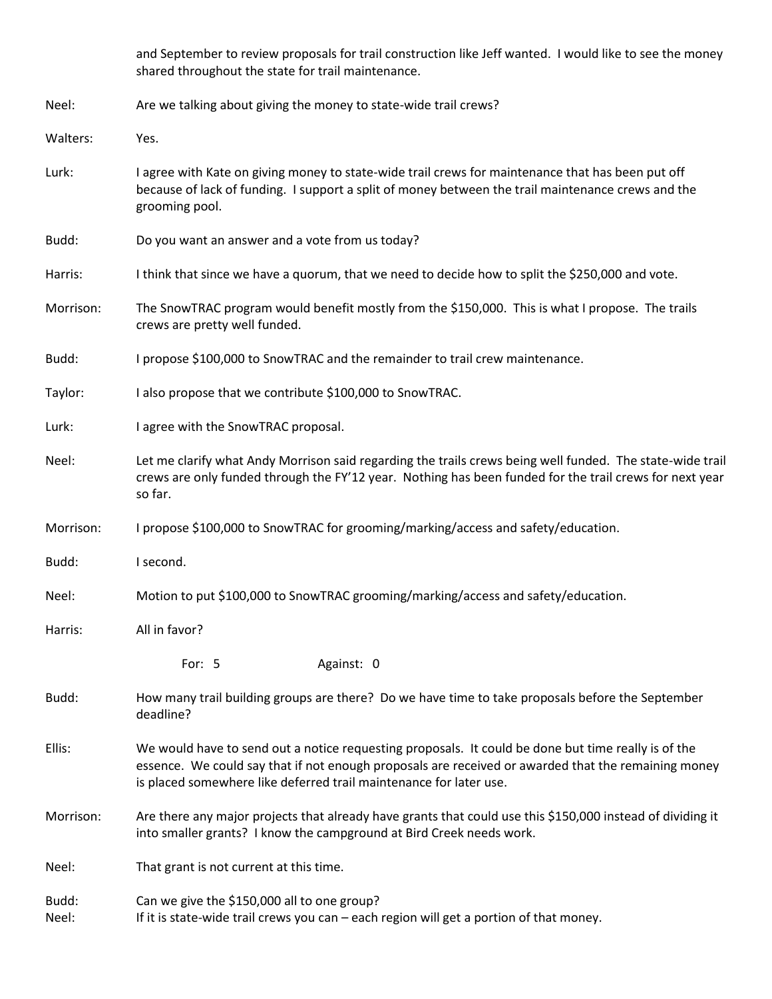and September to review proposals for trail construction like Jeff wanted. I would like to see the money shared throughout the state for trail maintenance.

Neel: Are we talking about giving the money to state-wide trail crews?

Walters: Yes.

- Lurk: I agree with Kate on giving money to state-wide trail crews for maintenance that has been put off because of lack of funding. I support a split of money between the trail maintenance crews and the grooming pool.
- Budd: Do you want an answer and a vote from us today?

Harris: I think that since we have a quorum, that we need to decide how to split the \$250,000 and vote.

- Morrison: The SnowTRAC program would benefit mostly from the \$150,000. This is what I propose. The trails crews are pretty well funded.
- Budd: I propose \$100,000 to SnowTRAC and the remainder to trail crew maintenance.
- Taylor: I also propose that we contribute \$100,000 to SnowTRAC.
- Lurk: I agree with the SnowTRAC proposal.
- Neel: Let me clarify what Andy Morrison said regarding the trails crews being well funded. The state-wide trail crews are only funded through the FY'12 year. Nothing has been funded for the trail crews for next year so far.
- Morrison: I propose \$100,000 to SnowTRAC for grooming/marking/access and safety/education.
- Budd: I second.
- Neel: Motion to put \$100,000 to SnowTRAC grooming/marking/access and safety/education.
- Harris: All in favor?
	- For: 5 Against: 0
- Budd: How many trail building groups are there? Do we have time to take proposals before the September deadline?
- Ellis: We would have to send out a notice requesting proposals. It could be done but time really is of the essence. We could say that if not enough proposals are received or awarded that the remaining money is placed somewhere like deferred trail maintenance for later use.
- Morrison: Are there any major projects that already have grants that could use this \$150,000 instead of dividing it into smaller grants? I know the campground at Bird Creek needs work.
- Neel: That grant is not current at this time.
- Budd: Can we give the \$150,000 all to one group?
- Neel: If it is state-wide trail crews you can each region will get a portion of that money.